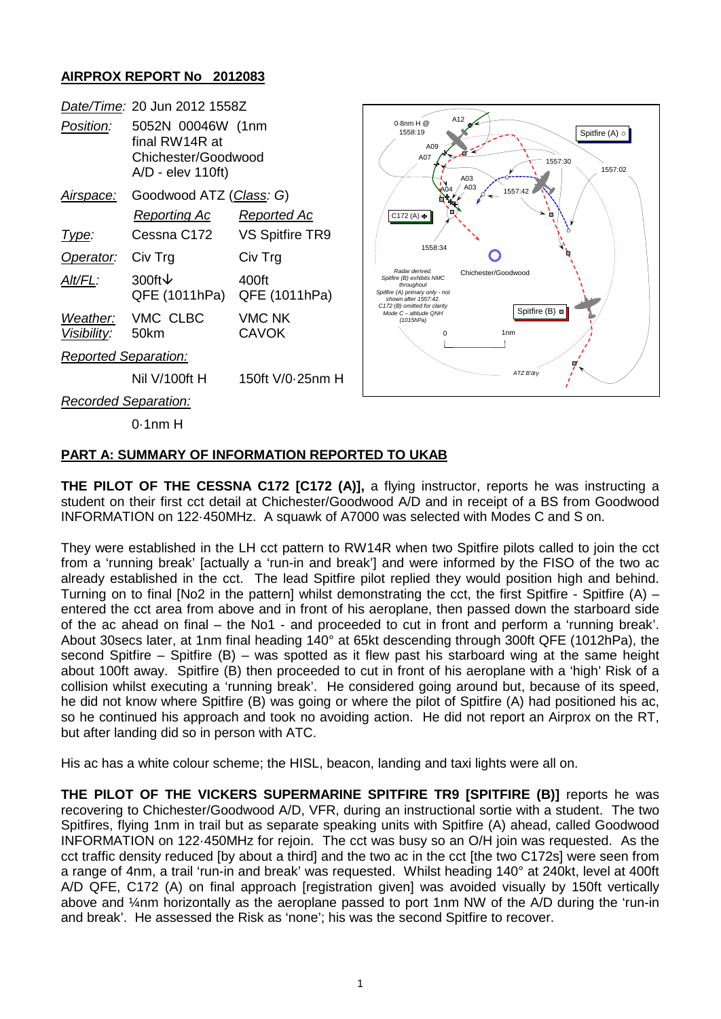## **AIRPROX REPORT No 2012083**



## **PART A: SUMMARY OF INFORMATION REPORTED TO UKAB**

**THE PILOT OF THE CESSNA C172 [C172 (A)],** a flying instructor, reports he was instructing a student on their first cct detail at Chichester/Goodwood A/D and in receipt of a BS from Goodwood INFORMATION on 122·450MHz. A squawk of A7000 was selected with Modes C and S on.

They were established in the LH cct pattern to RW14R when two Spitfire pilots called to join the cct from a 'running break' [actually a 'run-in and break'] and were informed by the FISO of the two ac already established in the cct. The lead Spitfire pilot replied they would position high and behind. Turning on to final [No2 in the pattern] whilst demonstrating the cct, the first Spitfire - Spitfire (A) – entered the cct area from above and in front of his aeroplane, then passed down the starboard side of the ac ahead on final – the No1 - and proceeded to cut in front and perform a 'running break'. About 30secs later, at 1nm final heading 140° at 65kt descending through 300ft QFE (1012hPa), the second Spitfire – Spitfire (B) – was spotted as it flew past his starboard wing at the same height about 100ft away. Spitfire (B) then proceeded to cut in front of his aeroplane with a 'high' Risk of a collision whilst executing a 'running break'. He considered going around but, because of its speed, he did not know where Spitfire (B) was going or where the pilot of Spitfire (A) had positioned his ac, so he continued his approach and took no avoiding action. He did not report an Airprox on the RT, but after landing did so in person with ATC.

His ac has a white colour scheme; the HISL, beacon, landing and taxi lights were all on.

**THE PILOT OF THE VICKERS SUPERMARINE SPITFIRE TR9 [SPITFIRE (B)]** reports he was recovering to Chichester/Goodwood A/D, VFR, during an instructional sortie with a student. The two Spitfires, flying 1nm in trail but as separate speaking units with Spitfire (A) ahead, called Goodwood INFORMATION on 122·450MHz for rejoin. The cct was busy so an O/H join was requested. As the cct traffic density reduced [by about a third] and the two ac in the cct [the two C172s] were seen from a range of 4nm, a trail 'run-in and break' was requested. Whilst heading 140° at 240kt, level at 400ft A/D QFE, C172 (A) on final approach [registration given] was avoided visually by 150ft vertically above and ¼nm horizontally as the aeroplane passed to port 1nm NW of the A/D during the 'run-in and break'. He assessed the Risk as 'none'; his was the second Spitfire to recover.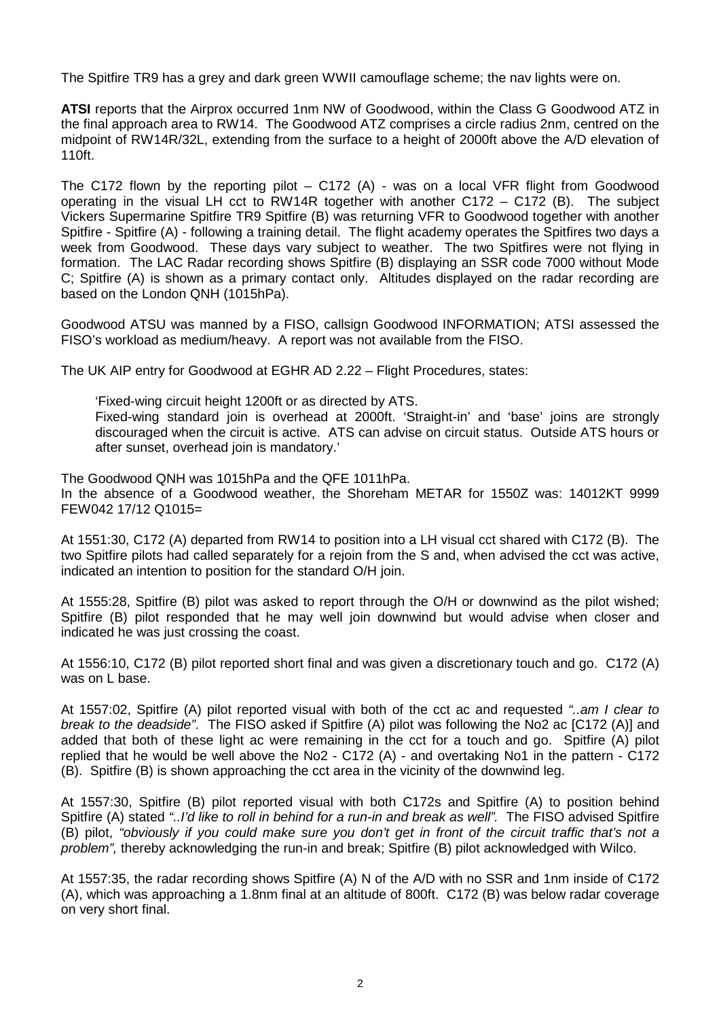The Spitfire TR9 has a grey and dark green WWII camouflage scheme; the nav lights were on.

**ATSI** reports that the Airprox occurred 1nm NW of Goodwood, within the Class G Goodwood ATZ in the final approach area to RW14. The Goodwood ATZ comprises a circle radius 2nm, centred on the midpoint of RW14R/32L, extending from the surface to a height of 2000ft above the A/D elevation of 110ft.

The C172 flown by the reporting pilot – C172 (A) - was on a local VFR flight from Goodwood operating in the visual LH cct to RW14R together with another  $C172 - C172$  (B). The subject Vickers Supermarine Spitfire TR9 Spitfire (B) was returning VFR to Goodwood together with another Spitfire - Spitfire (A) - following a training detail. The flight academy operates the Spitfires two days a week from Goodwood. These days vary subject to weather. The two Spitfires were not flying in formation. The LAC Radar recording shows Spitfire (B) displaying an SSR code 7000 without Mode C; Spitfire (A) is shown as a primary contact only. Altitudes displayed on the radar recording are based on the London QNH (1015hPa).

Goodwood ATSU was manned by a FISO, callsign Goodwood INFORMATION; ATSI assessed the FISO's workload as medium/heavy. A report was not available from the FISO.

The UK AIP entry for Goodwood at EGHR AD 2.22 – Flight Procedures, states:

'Fixed-wing circuit height 1200ft or as directed by ATS.

Fixed-wing standard join is overhead at 2000ft. 'Straight-in' and 'base' joins are strongly discouraged when the circuit is active. ATS can advise on circuit status. Outside ATS hours or after sunset, overhead join is mandatory.'

The Goodwood QNH was 1015hPa and the QFE 1011hPa. In the absence of a Goodwood weather, the Shoreham METAR for 1550Z was: 14012KT 9999 FEW042 17/12 Q1015=

At 1551:30, C172 (A) departed from RW14 to position into a LH visual cct shared with C172 (B). The two Spitfire pilots had called separately for a rejoin from the S and, when advised the cct was active, indicated an intention to position for the standard O/H join.

At 1555:28, Spitfire (B) pilot was asked to report through the O/H or downwind as the pilot wished; Spitfire (B) pilot responded that he may well join downwind but would advise when closer and indicated he was just crossing the coast.

At 1556:10, C172 (B) pilot reported short final and was given a discretionary touch and go. C172 (A) was on L base.

At 1557:02, Spitfire (A) pilot reported visual with both of the cct ac and requested *"..am I clear to break to the deadside"*. The FISO asked if Spitfire (A) pilot was following the No2 ac [C172 (A)] and added that both of these light ac were remaining in the cct for a touch and go. Spitfire (A) pilot replied that he would be well above the No2 - C172 (A) - and overtaking No1 in the pattern - C172 (B). Spitfire (B) is shown approaching the cct area in the vicinity of the downwind leg.

At 1557:30, Spitfire (B) pilot reported visual with both C172s and Spitfire (A) to position behind Spitfire (A) stated *"..I'd like to roll in behind for a run-in and break as well".* The FISO advised Spitfire (B) pilot, *"obviously if you could make sure you don't get in front of the circuit traffic that's not a problem",* thereby acknowledging the run-in and break; Spitfire (B) pilot acknowledged with Wilco.

At 1557:35, the radar recording shows Spitfire (A) N of the A/D with no SSR and 1nm inside of C172 (A), which was approaching a 1.8nm final at an altitude of 800ft. C172 (B) was below radar coverage on very short final.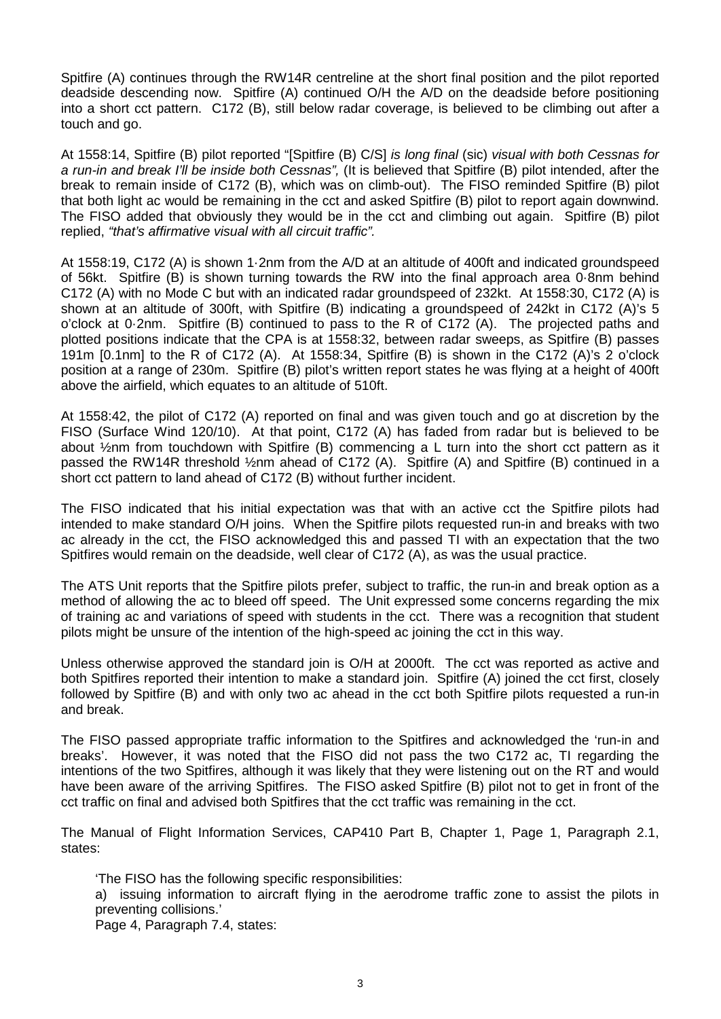Spitfire (A) continues through the RW14R centreline at the short final position and the pilot reported deadside descending now. Spitfire (A) continued O/H the A/D on the deadside before positioning into a short cct pattern. C172 (B), still below radar coverage, is believed to be climbing out after a touch and go.

At 1558:14, Spitfire (B) pilot reported "[Spitfire (B) C/S] *is long final* (sic) *visual with both Cessnas for a run-in and break I'll be inside both Cessnas",* (It is believed that Spitfire (B) pilot intended, after the break to remain inside of C172 (B), which was on climb-out). The FISO reminded Spitfire (B) pilot that both light ac would be remaining in the cct and asked Spitfire (B) pilot to report again downwind. The FISO added that obviously they would be in the cct and climbing out again. Spitfire (B) pilot replied, *"that's affirmative visual with all circuit traffic".*

At 1558:19, C172 (A) is shown 1·2nm from the A/D at an altitude of 400ft and indicated groundspeed of 56kt. Spitfire (B) is shown turning towards the RW into the final approach area 0·8nm behind C172 (A) with no Mode C but with an indicated radar groundspeed of 232kt. At 1558:30, C172 (A) is shown at an altitude of 300ft, with Spitfire (B) indicating a groundspeed of 242kt in C172 (A)'s 5 o'clock at 0·2nm. Spitfire (B) continued to pass to the R of C172 (A). The projected paths and plotted positions indicate that the CPA is at 1558:32, between radar sweeps, as Spitfire (B) passes 191m [0.1nm] to the R of C172 (A). At 1558:34, Spitfire (B) is shown in the C172 (A)'s 2 o'clock position at a range of 230m. Spitfire (B) pilot's written report states he was flying at a height of 400ft above the airfield, which equates to an altitude of 510ft.

At 1558:42, the pilot of C172 (A) reported on final and was given touch and go at discretion by the FISO (Surface Wind 120/10). At that point, C172 (A) has faded from radar but is believed to be about ½nm from touchdown with Spitfire (B) commencing a L turn into the short cct pattern as it passed the RW14R threshold ½nm ahead of C172 (A). Spitfire (A) and Spitfire (B) continued in a short cct pattern to land ahead of C172 (B) without further incident.

The FISO indicated that his initial expectation was that with an active cct the Spitfire pilots had intended to make standard O/H joins. When the Spitfire pilots requested run-in and breaks with two ac already in the cct, the FISO acknowledged this and passed TI with an expectation that the two Spitfires would remain on the deadside, well clear of C172 (A), as was the usual practice.

The ATS Unit reports that the Spitfire pilots prefer, subject to traffic, the run-in and break option as a method of allowing the ac to bleed off speed. The Unit expressed some concerns regarding the mix of training ac and variations of speed with students in the cct. There was a recognition that student pilots might be unsure of the intention of the high-speed ac joining the cct in this way.

Unless otherwise approved the standard join is O/H at 2000ft. The cct was reported as active and both Spitfires reported their intention to make a standard join. Spitfire (A) joined the cct first, closely followed by Spitfire (B) and with only two ac ahead in the cct both Spitfire pilots requested a run-in and break.

The FISO passed appropriate traffic information to the Spitfires and acknowledged the 'run-in and breaks'. However, it was noted that the FISO did not pass the two C172 ac, TI regarding the intentions of the two Spitfires, although it was likely that they were listening out on the RT and would have been aware of the arriving Spitfires. The FISO asked Spitfire (B) pilot not to get in front of the cct traffic on final and advised both Spitfires that the cct traffic was remaining in the cct.

The Manual of Flight Information Services, CAP410 Part B, Chapter 1, Page 1, Paragraph 2.1, states:

'The FISO has the following specific responsibilities:

a) issuing information to aircraft flying in the aerodrome traffic zone to assist the pilots in preventing collisions.'

Page 4, Paragraph 7.4, states: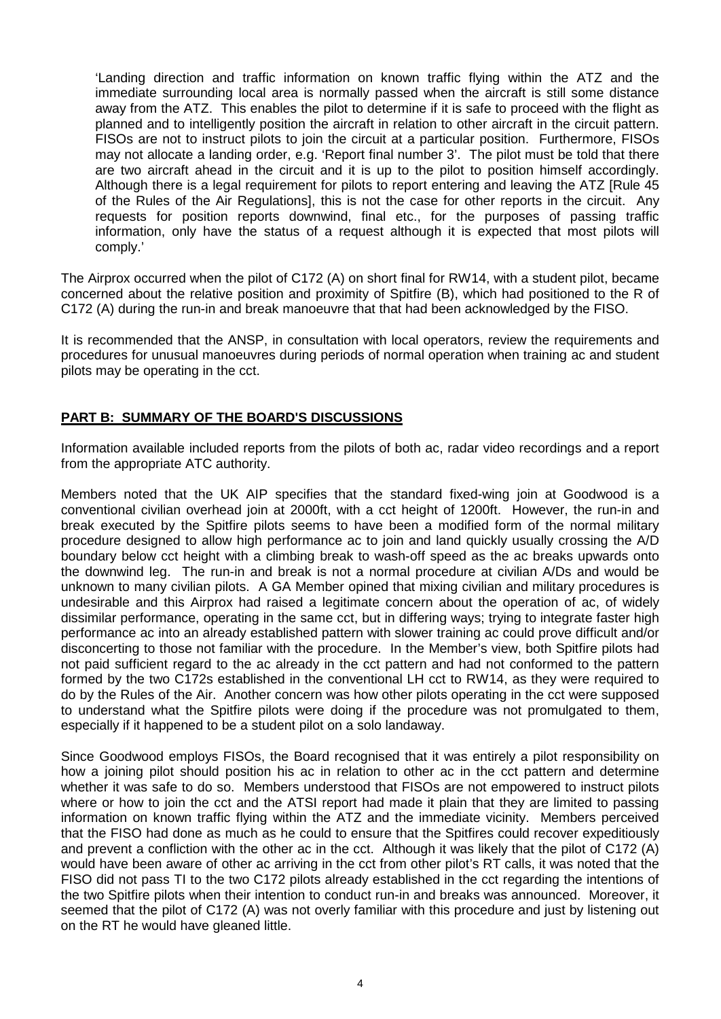'Landing direction and traffic information on known traffic flying within the ATZ and the immediate surrounding local area is normally passed when the aircraft is still some distance away from the ATZ. This enables the pilot to determine if it is safe to proceed with the flight as planned and to intelligently position the aircraft in relation to other aircraft in the circuit pattern. FISOs are not to instruct pilots to join the circuit at a particular position. Furthermore, FISOs may not allocate a landing order, e.g. 'Report final number 3'. The pilot must be told that there are two aircraft ahead in the circuit and it is up to the pilot to position himself accordingly. Although there is a legal requirement for pilots to report entering and leaving the ATZ [Rule 45 of the Rules of the Air Regulations], this is not the case for other reports in the circuit. Any requests for position reports downwind, final etc., for the purposes of passing traffic information, only have the status of a request although it is expected that most pilots will comply.'

The Airprox occurred when the pilot of C172 (A) on short final for RW14, with a student pilot, became concerned about the relative position and proximity of Spitfire (B), which had positioned to the R of C172 (A) during the run-in and break manoeuvre that that had been acknowledged by the FISO.

It is recommended that the ANSP, in consultation with local operators, review the requirements and procedures for unusual manoeuvres during periods of normal operation when training ac and student pilots may be operating in the cct.

## **PART B: SUMMARY OF THE BOARD'S DISCUSSIONS**

Information available included reports from the pilots of both ac, radar video recordings and a report from the appropriate ATC authority.

Members noted that the UK AIP specifies that the standard fixed-wing join at Goodwood is a conventional civilian overhead join at 2000ft, with a cct height of 1200ft. However, the run-in and break executed by the Spitfire pilots seems to have been a modified form of the normal military procedure designed to allow high performance ac to join and land quickly usually crossing the A/D boundary below cct height with a climbing break to wash-off speed as the ac breaks upwards onto the downwind leg. The run-in and break is not a normal procedure at civilian A/Ds and would be unknown to many civilian pilots. A GA Member opined that mixing civilian and military procedures is undesirable and this Airprox had raised a legitimate concern about the operation of ac, of widely dissimilar performance, operating in the same cct, but in differing ways; trying to integrate faster high performance ac into an already established pattern with slower training ac could prove difficult and/or disconcerting to those not familiar with the procedure. In the Member's view, both Spitfire pilots had not paid sufficient regard to the ac already in the cct pattern and had not conformed to the pattern formed by the two C172s established in the conventional LH cct to RW14, as they were required to do by the Rules of the Air. Another concern was how other pilots operating in the cct were supposed to understand what the Spitfire pilots were doing if the procedure was not promulgated to them, especially if it happened to be a student pilot on a solo landaway.

Since Goodwood employs FISOs, the Board recognised that it was entirely a pilot responsibility on how a joining pilot should position his ac in relation to other ac in the cct pattern and determine whether it was safe to do so. Members understood that FISOs are not empowered to instruct pilots where or how to join the cct and the ATSI report had made it plain that they are limited to passing information on known traffic flying within the ATZ and the immediate vicinity. Members perceived that the FISO had done as much as he could to ensure that the Spitfires could recover expeditiously and prevent a confliction with the other ac in the cct. Although it was likely that the pilot of C172 (A) would have been aware of other ac arriving in the cct from other pilot's RT calls, it was noted that the FISO did not pass TI to the two C172 pilots already established in the cct regarding the intentions of the two Spitfire pilots when their intention to conduct run-in and breaks was announced. Moreover, it seemed that the pilot of C172 (A) was not overly familiar with this procedure and just by listening out on the RT he would have gleaned little.